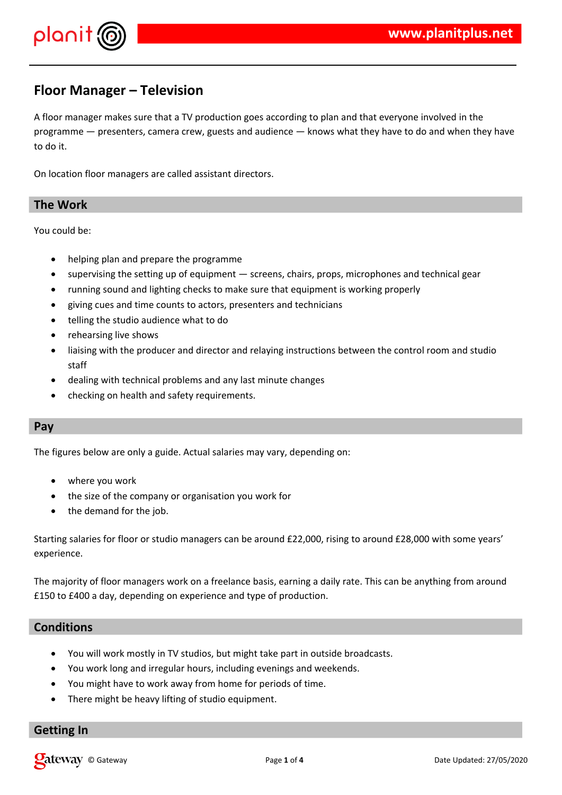

# **Floor Manager – Television**

A floor manager makes sure that a TV production goes according to plan and that everyone involved in the programme — presenters, camera crew, guests and audience — knows what they have to do and when they have to do it.

On location floor managers are called assistant directors.

#### **The Work**

You could be:

- helping plan and prepare the programme
- supervising the setting up of equipment screens, chairs, props, microphones and technical gear
- running sound and lighting checks to make sure that equipment is working properly
- giving cues and time counts to actors, presenters and technicians
- telling the studio audience what to do
- rehearsing live shows
- liaising with the producer and director and relaying instructions between the control room and studio staff
- dealing with technical problems and any last minute changes
- checking on health and safety requirements.

#### **Pay**

The figures below are only a guide. Actual salaries may vary, depending on:

- where you work
- the size of the company or organisation you work for
- the demand for the job.

Starting salaries for floor or studio managers can be around £22,000, rising to around £28,000 with some years' experience.

The majority of floor managers work on a freelance basis, earning a daily rate. This can be anything from around £150 to £400 a day, depending on experience and type of production.

## **Conditions**

- You will work mostly in TV studios, but might take part in outside broadcasts.
- You work long and irregular hours, including evenings and weekends.
- You might have to work away from home for periods of time.
- There might be heavy lifting of studio equipment.

#### **Getting In**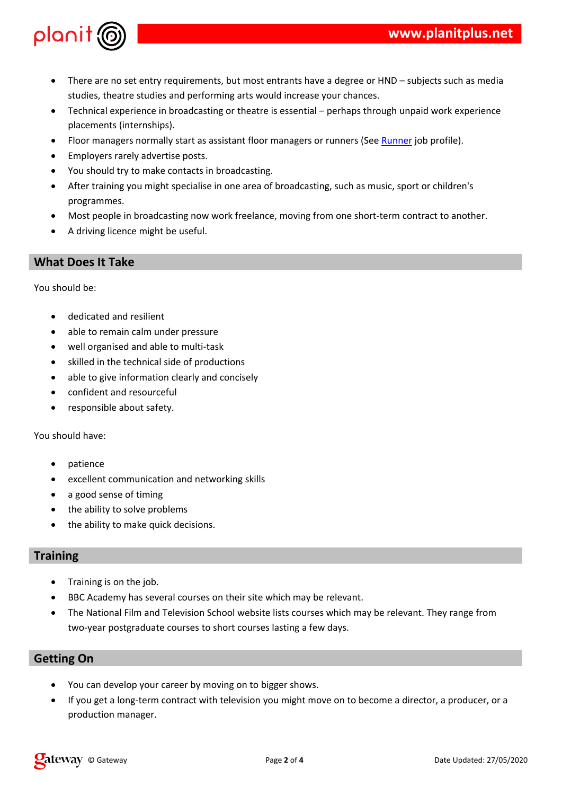4#5 6 ), ! "!  $\frac{1}{2}$  and  $\frac{1}{2}$  and  $\frac{1}{2}$  and  $\frac{1}{2}$  and  $\frac{1}{2}$  and  $\frac{1}{2}$  and  $\frac{1}{2}$  and  $\frac{1}{2}$  and  $\frac{1}{2}$  and  $\frac{1}{2}$  and  $\frac{1}{2}$  and  $\frac{1}{2}$  and  $\frac{1}{2}$  and  $\frac{1}{2}$  and  $\frac{1}{2}$  and  $\frac{1}{2}$  a 7" "8&  $\mathbf{I}$  $7 - ,$  ) " 8 & 9  $\#$  " &  $\frac{1}{2}$  $\frac{1}{2}$   $\frac{1}{2}$   $\frac{1}{2}$   $\frac{1}{2}$   $\frac{1}{2}$   $\frac{1}{2}$   $\frac{1}{2}$   $\frac{1}{2}$   $\frac{1}{2}$   $\frac{1}{2}$  $\left($  $\mathbf{0}=\mathbf{0}$  $\alpha$  $=$   $)^{n}$  ! "<br>" $\#$ " "!! " )&  $\frac{9}{20}$  $>$   $\frac{1}{2}$   $\frac{1}{2}$   $\frac{1}{2}$  8

 $\begin{array}{c} \hline \end{array}$  $\overline{(\ }$  $\mathbf{u} = \mathbf{u}$  $\mathbb{R}^n$  .  $\,$   $\,$   $\,$  $\mathbb{R}^n \times \mathbb{R}^n$  $\begin{array}{c} \hline \end{array}$  $\mathbf{u}_{\mathrm{max}}$  $\sim 0.01$  $\mathbf{I}^{\mathbf{u}+\mathbf{u}}\mathbf{I}^{\mathbf{u}+\mathbf{u}}$ )  $"# " " " " " " " " " " " " " " " " "$  $\begin{array}{ccc} & & & & 1 \\ (2) & & & & 1 \\ (3) & & & & 1 \\ (4) & & & & 1 \\ (5) & & & & 1 \\ (6) & & & & 1 \\ (7) & & & & 1 \\ (8) & & & & 1 \\ (9) & & & & 1 \\ (10) & & & & 1 \\ (11) & & & & 1 \\ (12) & & & & 1 \\ (13) & & & & 1 \\ (14) & & & & 1 \\ (15) & & & & 1 \\ (16) & & & & 1 \\ (17) & & & & 1 \\ (18) & & & & 1 \\ (19) & & & & 1 \\ (19) & & & & 1 \\ (11) &$  $\mathbf{I}^{\text{max}}$  $#$  $\overline{(\ }$  $\mathbf{u} = \mathbf{u}$  $\mathbf{1} \mathbf{1} \qquad \qquad \mathbf{1} \qquad \qquad \mathbf{1} \mathbf{1} \qquad \mathbf{1} \qquad \qquad \mathbf{1} \qquad \qquad \mathbf{1} \qquad \qquad \mathbf{1} \qquad \mathbf{1} \qquad \mathbf{1} \qquad \mathbf{1} \qquad \mathbf{1} \qquad \qquad \mathbf{1} \qquad \mathbf{1} \qquad \mathbf{1} \qquad \mathbf{1} \qquad \mathbf{1} \qquad \mathbf{1} \qquad \mathbf{1} \qquad \mathbf{1} \qquad \mathbf{1} \qquad \mathbf{1} \qquad \$  $\sum_{n=1}^{\infty}$  $\begin{array}{cccc} \# & & \\ & \ast & \mathbb{I} & \\ & & \end{array}$  $\sum_{n=1}^{\infty}$  $\mathcal{R}_{\mathcal{L}}$ 

 $\blacksquare$  $($   $\frac{1}{2}$   $\frac{1}{2}$   $\frac{1}{2}$   $\frac{1}{2}$   $\frac{1}{2}$   $\frac{1}{2}$   $\frac{1}{2}$   $\frac{1}{2}$   $\frac{1}{2}$   $\frac{1}{2}$   $\frac{1}{2}$   $\frac{1}{2}$   $\frac{1}{2}$   $\frac{1}{2}$   $\frac{1}{2}$   $\frac{1}{2}$   $\frac{1}{2}$   $\frac{1}{2}$   $\frac{1}{2}$   $\frac{1}{2}$   $\frac{1}{2}$   $\frac{1}{2$  $8<sup>8</sup>$ > !!' " #" # ) ! " ! % ! %<br>&  $\begin{array}{c} \mathsf{A} \\ | \end{array}$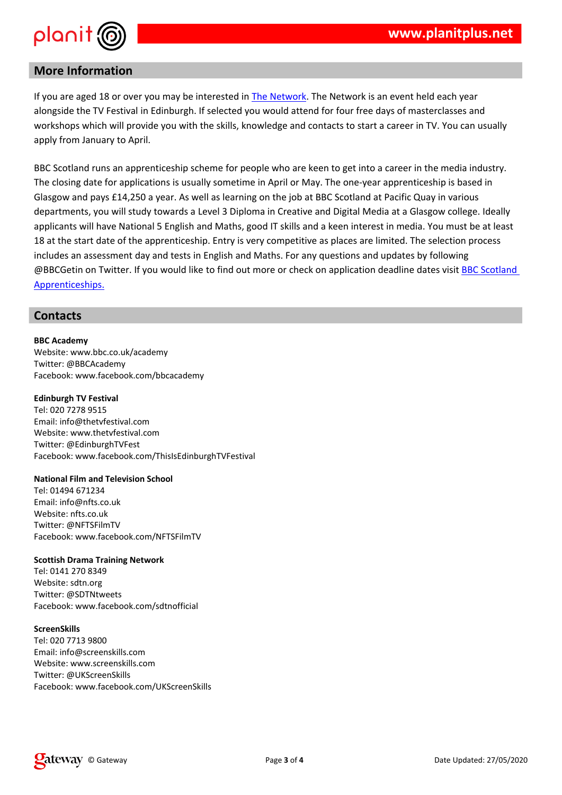# $#$  \$

 $\begin{array}{cccccccccccc} & & & 2/ & & \# & & &) & \frac{\pi}{5} & & 8 & \frac{\pi}{5} & & \frac{\pi}{5} & & \frac{\pi}{5} & & \frac{\pi}{5} & & \frac{\pi}{5} & & \frac{\pi}{5} & & \frac{\pi}{5} & & \frac{\pi}{5} & & \frac{\pi}{5} & & \frac{\pi}{5} & & \frac{\pi}{5} & & \frac{\pi}{5} & & \frac{\pi}{5} & & \frac{\pi}{5} & & \frac{\pi}{5} & & \frac{\pi}{5} & & \frac{\pi}{5} & & \frac{\pi}{5} & & \frac{\pi}{5} & & \frac{\pi}{5} & & \frac{\pi$  $\mathsf{A}$  $\mathbf{u} = \mathbf{u} \cdot \mathbf{u}$  and  $\mathbf{u} = \mathbf{u} \cdot \mathbf{u}$  and  $\mathbf{u} = \mathbf{u} \cdot \mathbf{u}$  $\mathbb{P}^n\left(1,\ldots,n\right) \longrightarrow \mathbb{P}^n$  $? ? @ -!$  $\mathbf{q}=\mathbf{q}^{\mathrm{T}}$  , where % "D#E " " @  $"$  "# " = "  $!$  A &<br>" # 5 " = ; % A " " " " & ( )<br>"! " & "# ! " " # ! " " & ! " !  $\mathbb{R}^n \times \mathbb{R}^n$  .  $2/$  $\overline{\phantom{a}}$  . In , F??@ " "# "? ? @ -!  $\mathbb{F}$   $\mathbb{F}$   $\mathbb{F}$   $\mathbb{F}$   $\mathbb{F}$   $\mathbb{R}$ 

## $\%$

 $8.8$  '% \$<br>
G ) " & ) | 8. ! & !<br>
F ? ? @ !  $9!)$   $8!)$   $8!)$   $8!)$   $1!)$ ( ) \*<br>
, " F # "# &!<br>
G ) " & # "# &!<br>
9 ! ) & ! ) &! " A ; ") 9 "#  $+$  \$, %  $23 H23 E3$ <br>  $; " " F & 8! 8$ <br>  $G) " 8! 8$ <br>  $" F59 - 9"$ <br>  $9!$  ) 8 ! 3 3 - 9"  $\begin{array}{ccc} ,\frac{96}{2} & \frac{1}{3} & + \\ 232 & /E3H \\ G \end{array}$ <br>  $\begin{array}{ccc} 232 & & /E3H \\ F - 5 & & \end{array}$  $9!$  )  $\begin{array}{c} 2 \\ 8 \end{array}$  )  $8!$  "!" , % ,<br>
, " = F ! " & !<br>
G ) " = & ! " & !<br>
" = J - ! - "<br>
9 ! ) = & ! ) & ! J - ! - "